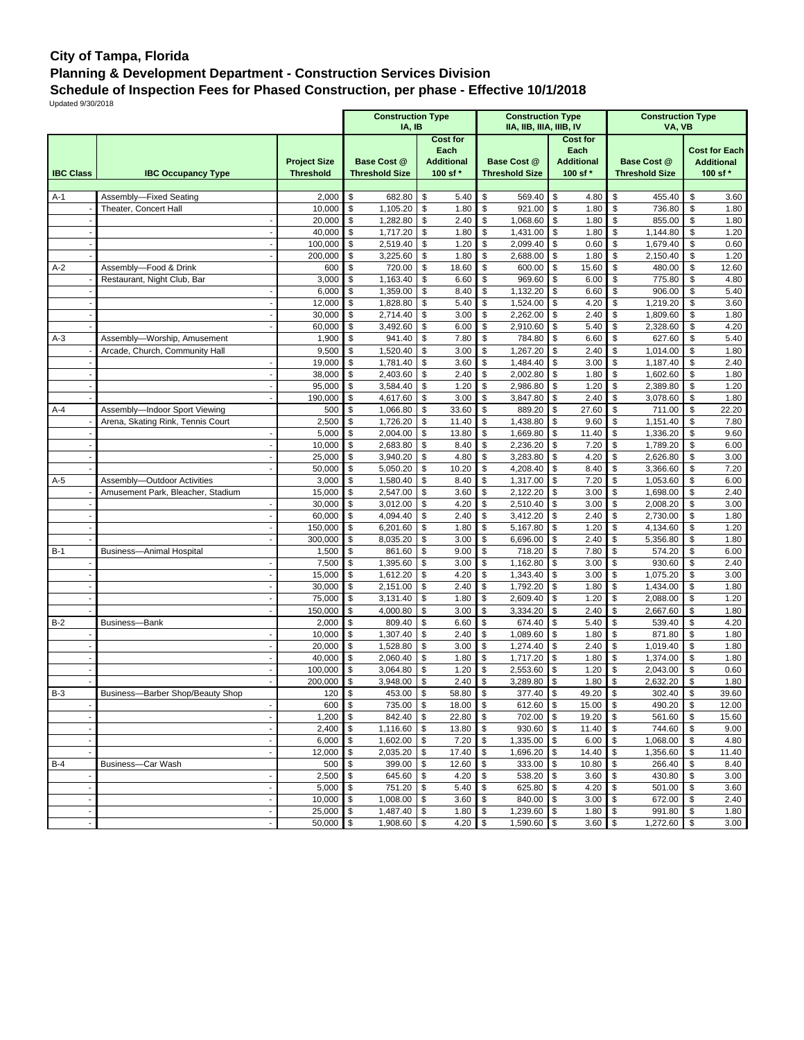## **City of Tampa, Florida Planning & Development Department - Construction Services Division Schedule of Inspection Fees for Phased Construction, per phase - Effective 10/1/2018**

Updated 9/30/2018

|                                                      |                                   |                     | <b>Construction Type</b><br>IA, IB |                           | <b>Construction Type</b><br>IIA, IIB, IIIA, IIIB, IV |                            | <b>Construction Type</b><br>VA, VB |                                           |  |  |  |
|------------------------------------------------------|-----------------------------------|---------------------|------------------------------------|---------------------------|------------------------------------------------------|----------------------------|------------------------------------|-------------------------------------------|--|--|--|
|                                                      |                                   |                     | <b>Cost for</b>                    |                           |                                                      | <b>Cost for</b>            |                                    |                                           |  |  |  |
|                                                      |                                   | <b>Project Size</b> | <b>Base Cost @</b>                 | Each<br><b>Additional</b> | <b>Base Cost @</b>                                   | Each<br><b>Additional</b>  | <b>Base Cost @</b>                 | <b>Cost for Each</b><br><b>Additional</b> |  |  |  |
| <b>IBC Class</b>                                     | <b>IBC Occupancy Type</b>         | <b>Threshold</b>    | <b>Threshold Size</b>              | 100 sf *                  | <b>Threshold Size</b>                                | 100 sf *                   | <b>Threshold Size</b>              | 100 sf *                                  |  |  |  |
|                                                      |                                   |                     |                                    |                           |                                                      |                            |                                    |                                           |  |  |  |
| $A-1$                                                | Assembly-Fixed Seating            | 2,000               | \$<br>682.80                       | \$<br>5.40                | \$<br>569.40                                         | \$<br>4.80                 | \$<br>455.40                       | \$<br>3.60                                |  |  |  |
|                                                      | Theater, Concert Hall             | 10,000              | \$<br>1,105.20                     | \$<br>1.80                | \$<br>921.00                                         | \$<br>1.80                 | \$<br>736.80                       | \$<br>1.80                                |  |  |  |
|                                                      |                                   | 20,000              | \$<br>1,282.80                     | 2.40<br>\$                | \$<br>1,068.60                                       | \$<br>1.80                 | \$<br>855.00                       | \$<br>1.80                                |  |  |  |
|                                                      |                                   | 40,000              | \$<br>1,717.20                     | \$<br>1.80                | \$<br>1,431.00                                       | \$<br>1.80                 | \$<br>1,144.80                     | \$<br>1.20                                |  |  |  |
|                                                      |                                   | 100,000             | \$<br>2,519.40                     | \$<br>1.20                | \$<br>2,099.40                                       | \$<br>0.60                 | \$<br>1,679.40                     | \$<br>0.60                                |  |  |  |
|                                                      |                                   | 200,000             | \$<br>3,225.60                     | \$<br>1.80                | \$<br>2,688.00                                       | \$<br>1.80                 | \$<br>2,150.40                     | \$<br>1.20                                |  |  |  |
| $A-2$                                                | Assembly-Food & Drink             | 600                 | 720.00<br>\$<br>\$<br>1,163.40     | \$<br>18.60               | \$<br>600.00<br>\$<br>969.60                         | \$<br>15.60<br>\$          | \$<br>480.00<br>\$                 | \$<br>12.60<br>\$                         |  |  |  |
|                                                      | Restaurant, Night Club, Bar       | 3,000<br>6,000      | \$<br>1,359.00                     | \$<br>6.60<br>\$<br>8.40  | \$<br>1,132.20                                       | 6.00<br>\$<br>6.60         | 775.80<br>\$<br>906.00             | 4.80<br>\$<br>5.40                        |  |  |  |
|                                                      |                                   | 12,000              | \$<br>1,828.80                     | \$<br>5.40                | \$<br>1,524.00                                       | \$<br>4.20                 | \$<br>1,219.20                     | \$<br>3.60                                |  |  |  |
|                                                      |                                   | 30,000              | \$<br>2,714.40                     | 3.00<br>\$                | \$<br>2,262.00                                       | \$<br>2.40                 | \$<br>1,809.60                     | \$<br>1.80                                |  |  |  |
|                                                      |                                   | 60,000              | \$<br>3,492.60                     | \$<br>6.00                | \$<br>2,910.60                                       | \$<br>5.40                 | \$<br>2,328.60                     | \$<br>4.20                                |  |  |  |
| $A-3$                                                | Assembly-Worship, Amusement       | 1,900               | \$<br>941.40                       | \$<br>7.80                | \$<br>784.80                                         | \$<br>6.60                 | \$<br>627.60                       | \$<br>5.40                                |  |  |  |
|                                                      | Arcade, Church, Community Hall    | 9,500               | 1,520.40<br>\$                     | \$<br>3.00                | \$<br>1,267.20                                       | \$<br>2.40                 | \$<br>1,014.00                     | \$<br>1.80                                |  |  |  |
|                                                      |                                   | 19,000              | 1,781.40<br>\$                     | \$<br>3.60                | \$<br>1,484.40                                       | \$<br>3.00                 | \$<br>1,187.40                     | \$<br>2.40                                |  |  |  |
|                                                      |                                   | 38,000              | \$<br>2,403.60                     | \$<br>2.40                | \$<br>2,002.80                                       | \$<br>1.80                 | \$<br>1,602.60                     | \$<br>1.80                                |  |  |  |
|                                                      |                                   | 95,000              | \$<br>3,584.40                     | \$<br>1.20                | \$<br>2,986.80                                       | \$<br>1.20                 | \$<br>2,389.80                     | \$<br>1.20                                |  |  |  |
|                                                      |                                   | 190,000             | 4,617.60<br>\$                     | \$<br>3.00                | \$<br>3,847.80                                       | \$<br>2.40                 | \$<br>3,078.60                     | \$<br>1.80                                |  |  |  |
| A-4                                                  | Assembly-Indoor Sport Viewing     | 500                 | \$<br>1,066.80                     | 33.60<br>\$               | \$<br>889.20                                         | \$<br>27.60                | \$<br>711.00                       | \$<br>22.20                               |  |  |  |
|                                                      | Arena, Skating Rink, Tennis Court | 2,500               | \$<br>1,726.20                     | 11.40<br>\$               | \$<br>1,438.80                                       | \$<br>9.60                 | \$<br>1,151.40                     | \$<br>7.80                                |  |  |  |
|                                                      |                                   | 5,000               | \$<br>2,004.00                     | \$<br>13.80               | \$<br>1,669.80                                       | \$<br>11.40                | \$<br>1,336.20                     | \$<br>9.60                                |  |  |  |
|                                                      |                                   | 10,000              | 2,683.80<br>\$<br>\$<br>3,940.20   | \$<br>8.40<br>4.80        | \$<br>2,236.20<br>\$<br>3,283.80                     | \$<br>7.20<br>\$           | \$<br>1,789.20<br>\$<br>2,626.80   | \$<br>6.00<br>\$<br>3.00                  |  |  |  |
|                                                      |                                   | 25,000<br>50,000    | \$<br>5,050.20                     | \$<br>\$<br>10.20         | \$<br>4,208.40                                       | 4.20<br>\$<br>8.40         | \$<br>3,366.60                     | \$<br>7.20                                |  |  |  |
| A-5                                                  | Assembly-Outdoor Activities       | 3,000               | \$<br>1,580.40                     | \$<br>8.40                | \$<br>1,317.00                                       | \$<br>7.20                 | \$<br>1,053.60                     | \$<br>6.00                                |  |  |  |
|                                                      | Amusement Park, Bleacher, Stadium | 15,000              | 2,547.00<br>\$                     | \$<br>3.60                | \$<br>2,122.20                                       | \$<br>3.00                 | \$<br>1,698.00                     | \$<br>2.40                                |  |  |  |
|                                                      |                                   | 30,000              | \$<br>3,012.00                     | 4.20<br>\$                | \$<br>2,510.40                                       | \$<br>3.00                 | \$<br>2,008.20                     | \$<br>3.00                                |  |  |  |
|                                                      | $\overline{\phantom{a}}$          | 60,000              | \$<br>4,094.40                     | \$<br>2.40                | \$<br>3,412.20                                       | \$<br>2.40                 | \$<br>2,730.00                     | \$<br>1.80                                |  |  |  |
|                                                      |                                   | 150,000             | \$<br>6,201.60                     | \$<br>1.80                | \$<br>5,167.80                                       | \$<br>1.20                 | \$<br>4,134.60                     | \$<br>1.20                                |  |  |  |
|                                                      |                                   | 300,000             | 8,035.20<br>\$                     | \$<br>3.00                | \$<br>6,696.00                                       | \$<br>2.40                 | \$<br>5,356.80                     | \$<br>1.80                                |  |  |  |
| $B-1$                                                | <b>Business-Animal Hospital</b>   | 1,500               | \$<br>861.60                       | \$<br>9.00                | \$<br>718.20                                         | \$<br>7.80                 | \$<br>574.20                       | \$<br>6.00                                |  |  |  |
|                                                      | $\overline{\phantom{m}}$          | 7,500               | \$<br>1,395.60                     | \$<br>3.00                | \$<br>1,162.80                                       | \$<br>3.00                 | \$<br>930.60                       | \$<br>2.40                                |  |  |  |
|                                                      |                                   | 15,000              | \$<br>1,612.20                     | \$<br>4.20                | \$<br>1,343.40                                       | \$<br>3.00                 | \$<br>1,075.20                     | \$<br>3.00                                |  |  |  |
|                                                      | $\overline{\phantom{a}}$          | 30,000              | \$<br>2,151.00                     | \$<br>2.40                | \$<br>1,792.20                                       | \$<br>1.80                 | \$<br>1,434.00                     | \$<br>1.80                                |  |  |  |
|                                                      |                                   | 75,000              | \$<br>3,131.40                     | \$<br>1.80                | \$<br>2,609.40                                       | \$<br>1.20                 | \$<br>2,088.00                     | \$<br>1.20                                |  |  |  |
|                                                      | ÷.                                | 150,000             | \$<br>4,000.80                     | \$<br>3.00                | \$<br>3,334.20                                       | \$<br>2.40                 | \$<br>2,667.60                     | \$<br>1.80                                |  |  |  |
| $B-2$                                                | Business-Bank                     | 2,000<br>10,000     | \$<br>809.40<br>1,307.40<br>\$     | \$<br>6.60<br>\$<br>2.40  | \$<br>674.40<br>\$<br>1,089.60                       | \$<br>5.40<br>\$<br>1.80   | \$<br>539.40<br>\$<br>871.80       | \$<br>4.20<br>\$<br>1.80                  |  |  |  |
|                                                      |                                   | 20,000              | 1,528.80<br>\$                     | \$<br>3.00                | \$<br>1,274.40                                       | \$<br>2.40                 | \$<br>1,019.40                     | \$<br>1.80                                |  |  |  |
|                                                      | $\overline{\phantom{a}}$          | 40,000              | \$<br>2,060.40                     | \$<br>1.80                | \$<br>1,717.20                                       | \$<br>1.80                 | \$<br>1,374.00                     | \$<br>1.80                                |  |  |  |
|                                                      |                                   | 100,000             | \$<br>3,064.80                     | \$<br>1.20                | \$<br>2,553.60                                       | \$<br>1.20                 | \$<br>2,043.00                     | \$<br>0.60                                |  |  |  |
|                                                      |                                   | 200,000             | \$<br>3,948.00                     | \$<br>2.40                | \$<br>3,289.80                                       | \$<br>1.80                 | \$<br>2,632.20                     | \$<br>1.80                                |  |  |  |
| $B-3$                                                | Business-Barber Shop/Beauty Shop  | 120                 | \$<br>453.00                       | \$<br>58.80               | \$<br>377.40                                         | \$<br>49.20                | \$<br>302.40                       | \$<br>39.60                               |  |  |  |
|                                                      |                                   | 600 \$              | 735.00 \$                          | $18.00$ \$                | $612.60$ \\$                                         | 15.00                      | 490.20<br>\$                       | \$<br>12.00                               |  |  |  |
|                                                      |                                   | 1,200               | 842.40<br>$\sqrt{3}$               | \$<br>$22.80$ \$          | 702.00 \$                                            | 19.20                      | \$<br>561.60                       | \$<br>15.60                               |  |  |  |
| $\overline{\phantom{a}}$                             | $\sim$                            | 2,400               | 1,116.60<br>$\sqrt{3}$             | 13.80 \$<br>\$            | 930.60                                               | $\sqrt{3}$<br>11.40        | 744.60<br>\$                       | \$<br>9.00                                |  |  |  |
|                                                      | $\blacksquare$                    | 6,000               | 1,602.00<br>$\sqrt{3}$             | \$<br>$7.20$ \$           | 1,335.00                                             | $\sqrt{3}$<br>6.00         | \$<br>1,068.00 \$                  | 4.80                                      |  |  |  |
|                                                      | $\blacksquare$                    | 12,000              | 2,035.20<br>\$                     | 17.40<br>\$               | \$<br>1,696.20                                       | $\sqrt{3}$<br>14.40        | \$<br>1,356.60                     | \$<br>11.40                               |  |  |  |
| B-4                                                  | Business-Car Wash                 | 500                 | 399.00<br>$\sqrt{3}$               | \$<br>$12.60$ \$          | $333.00$ \$                                          | 10.80                      | \$<br>266.40                       | \$<br>8.40                                |  |  |  |
|                                                      | $\blacksquare$                    | 2,500               | $\sqrt{3}$<br>645.60               | 4.20<br>\$                | \$<br>538.20                                         | \$<br>3.60                 | 430.80<br>\$                       | \$<br>3.00                                |  |  |  |
|                                                      | $\sim$                            | 5,000               | 751.20<br>$\sqrt{3}$               | $5.40$ \$<br>\$           | 625.80                                               | \$<br>4.20                 | 501.00<br>\$                       | \$<br>3.60                                |  |  |  |
| $\overline{\phantom{a}}$<br>$\overline{\phantom{a}}$ | $\blacksquare$<br>$\sim$          | 10,000<br>25,000    | 1,008.00<br>\$<br>1,487.40         | \$<br>3.60                | 840.00<br>\$<br>1,239.60                             | $\sqrt{3}$<br>3.00         | 672.00<br>\$<br>991.80             | \$<br>2.40                                |  |  |  |
|                                                      | $\blacksquare$                    | 50,000              | $\sqrt{3}$<br>\$<br>1,908.60       | \$<br>1.80<br>4.20<br>\$  | \$<br>\$<br>1,590.60 \$                              | $\sqrt{3}$<br>1.80<br>3.60 | \$<br>\$<br>1,272.60 \$            | \$<br>1.80<br>3.00                        |  |  |  |
|                                                      |                                   |                     |                                    |                           |                                                      |                            |                                    |                                           |  |  |  |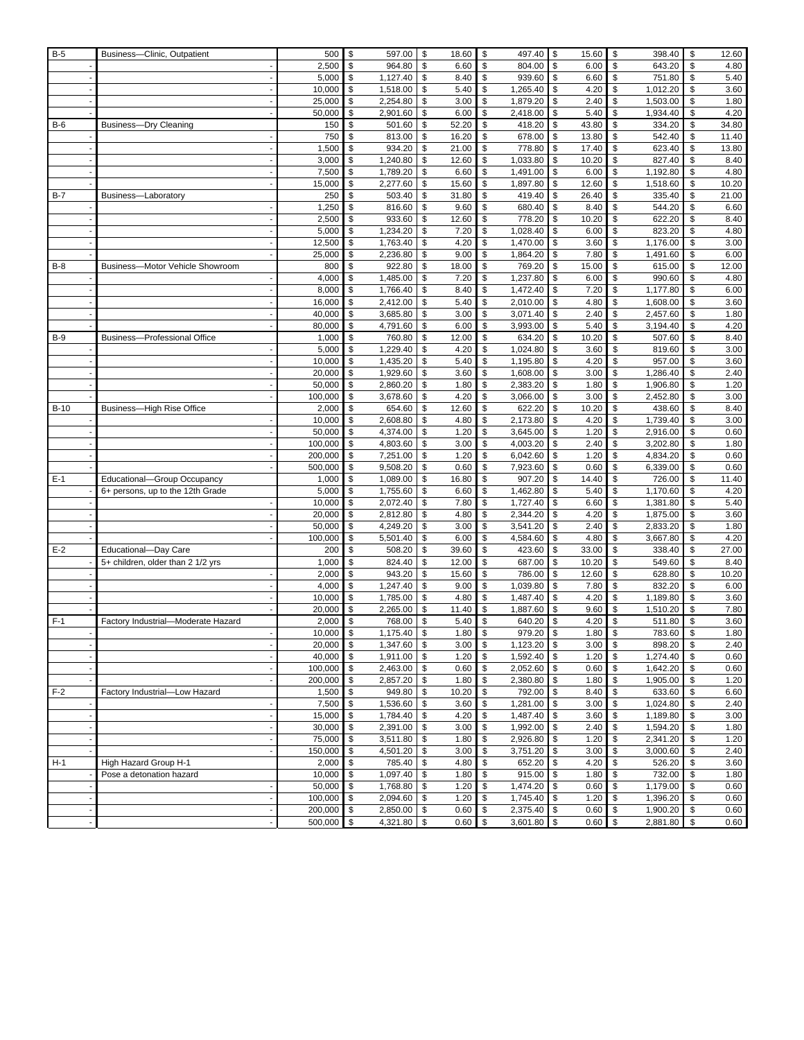| B-5    | Business-Clinic, Outpatient         | 500              | \$       | 597.00               | \$       | 18.60        | \$       | 497.40               | \$       | 15.60        | \$<br>398.40             | \$       | 12.60        |
|--------|-------------------------------------|------------------|----------|----------------------|----------|--------------|----------|----------------------|----------|--------------|--------------------------|----------|--------------|
|        |                                     | 2,500            | \$       | 964.80               | \$       | 6.60         | \$       | 804.00               | \$       | 6.00         | \$<br>643.20             | \$       | 4.80         |
|        |                                     | 5,000            | \$       | 1,127.40             | \$       | 8.40         | \$       | 939.60               | \$       | 6.60         | \$<br>751.80             | \$       | 5.40         |
|        |                                     | 10,000           | \$       | 1,518.00             | \$       | 5.40         | \$       | 1,265.40             | \$       | 4.20         | \$<br>1,012.20           | \$       | 3.60         |
|        |                                     | 25,000           | \$       | 2,254.80             | \$       | 3.00         | \$       | 1,879.20             | \$       | 2.40         | \$<br>1,503.00           | \$       | 1.80         |
|        |                                     | 50,000           | \$       | 2,901.60             | \$       | 6.00         | \$       | 2,418.00             | \$       | 5.40         | \$<br>1,934.40           | \$       | 4.20         |
| $B-6$  | <b>Business-Dry Cleaning</b>        | 150              | \$       | 501.60               | \$       | 52.20        | \$       | 418.20               | \$       | 43.80        | \$<br>334.20             | \$       | 34.80        |
|        |                                     | 750              | \$       | 813.00               | \$       | 16.20        | \$       | 678.00               | \$       | 13.80        | \$<br>542.40             | \$       | 11.40        |
|        |                                     | 1,500            | \$       | 934.20               | \$       | 21.00        | \$       | 778.80               | \$       | 17.40        | \$<br>623.40             | \$       | 13.80        |
|        |                                     | 3,000            | \$       | 1,240.80             | \$       | 12.60        | \$       | 1,033.80             | \$       | 10.20        | \$<br>827.40             | \$       | 8.40         |
|        |                                     | 7,500            | \$       | 1,789.20             | \$       | 6.60         | \$       | 1,491.00             | \$       | 6.00         | \$<br>1,192.80           | \$       | 4.80         |
|        |                                     | 15,000           | \$       | 2,277.60             | \$       | 15.60        | \$       | 1,897.80             | \$       | 12.60        | \$<br>1,518.60           | \$       | 10.20        |
| $B-7$  | Business-Laboratory                 | 250              | \$       | 503.40               | \$       | 31.80        | \$       | 419.40               | \$       | 26.40        | \$<br>335.40             | \$       | 21.00        |
|        |                                     | 1,250            | \$       | 816.60               | \$       | 9.60         | \$       | 680.40               | \$       | 8.40         | \$<br>544.20             | \$       | 6.60         |
|        |                                     | 2,500            | \$       | 933.60               | \$       | 12.60        | \$       | 778.20               | \$       | 10.20        | \$<br>622.20             | \$       | 8.40         |
|        |                                     | 5,000            | \$       | 1,234.20             | \$       | 7.20         | \$       | 1,028.40             | \$       | 6.00         | \$<br>823.20             | \$       | 4.80         |
|        |                                     | 12,500           | \$       | 1,763.40             | \$       | 4.20         | \$       | 1,470.00             | \$       | 3.60         | \$<br>1,176.00           | \$       | 3.00         |
|        |                                     | 25,000           | \$       | 2,236.80             | \$       | 9.00         | \$       | 1,864.20             | \$       | 7.80         | \$<br>1,491.60           | \$       | 6.00         |
| $B-8$  | Business-Motor Vehicle Showroom     | 800              | \$       | 922.80               | \$       | 18.00        | \$       | 769.20               | \$       | 15.00        | \$<br>615.00             | \$       | 12.00        |
|        |                                     | 4,000            | \$       | 1,485.00             | \$       | 7.20         | \$       | 1,237.80             | \$       | 6.00         | \$<br>990.60             | \$       | 4.80         |
|        |                                     | 8,000            | \$       | 1,766.40             | \$       | 8.40         | \$       | 1,472.40             | \$       | 7.20         | \$<br>1,177.80           | \$       | 6.00         |
|        |                                     | 16,000           | \$       | 2,412.00             | \$       | 5.40         | \$       | 2,010.00             | \$       | 4.80         | \$<br>1,608.00           | \$       | 3.60         |
|        |                                     | 40,000           | \$       | 3,685.80             | \$       | 3.00         | \$       | 3,071.40             | \$       | 2.40         | \$<br>2,457.60           | \$       | 1.80         |
|        |                                     | 80,000           | \$       | 4,791.60             | \$       | 6.00         | \$       | 3,993.00             | \$       | 5.40         | \$<br>3,194.40           | \$       | 4.20         |
| $B-9$  | <b>Business-Professional Office</b> | 1,000            | \$       | 760.80               | \$       | 12.00        | \$       | 634.20               | \$       | 10.20        | \$<br>507.60             | \$       | 8.40         |
|        |                                     | 5,000            | \$       | 1,229.40             | \$       | 4.20         | \$       | 1,024.80             | \$       | 3.60         | \$<br>819.60             | \$       | 3.00         |
|        |                                     | 10,000           | \$       | 1,435.20             | \$       | 5.40         | \$       | 1,195.80             | \$       | 4.20         | \$<br>957.00             | \$       | 3.60         |
|        |                                     | 20,000           | \$       | 1,929.60             | \$       | 3.60         | \$       | 1,608.00             | \$       | 3.00         | \$<br>1,286.40           | \$       | 2.40         |
|        |                                     | 50,000           | \$       | 2,860.20             | \$       | 1.80         | \$       | 2,383.20             | \$       | 1.80         | \$<br>1,906.80           | \$       | 1.20         |
|        |                                     | 100,000          | \$       | 3,678.60             | \$       | 4.20         | \$       | 3,066.00             | \$       | 3.00         | \$<br>2,452.80           | \$       | 3.00         |
| $B-10$ | <b>Business-High Rise Office</b>    | 2,000            | \$       | 654.60               | \$<br>\$ | 12.60        | \$       | 622.20               | \$       | 10.20        | \$<br>438.60<br>1,739.40 | \$       | 8.40         |
|        |                                     | 10,000<br>50,000 | \$<br>\$ | 2,608.80<br>4,374.00 | \$       | 4.80<br>1.20 | \$<br>\$ | 2,173.80<br>3,645.00 | \$<br>\$ | 4.20<br>1.20 | \$<br>\$<br>2,916.00     | \$<br>\$ | 3.00<br>0.60 |
|        |                                     | 100,000          | \$       | 4,803.60             | \$       | 3.00         | \$       | 4,003.20             | \$       | 2.40         | \$<br>3,202.80           | \$       | 1.80         |
|        |                                     | 200,000          | \$       | 7,251.00             | \$       | 1.20         | \$       | 6,042.60             | \$       | 1.20         | \$<br>4,834.20           | \$       | 0.60         |
|        |                                     | 500,000          | \$       | 9,508.20             | \$       | 0.60         | \$       | 7,923.60             | \$       | 0.60         | \$<br>6,339.00           | \$       | 0.60         |
| $E-1$  | Educational-Group Occupancy         | 1,000            | \$       | 1,089.00             | \$       | 16.80        | \$       | 907.20               | \$       | 14.40        | \$<br>726.00             | \$       | 11.40        |
|        | 6+ persons, up to the 12th Grade    | 5,000            | \$       | 1,755.60             | \$       | 6.60         | \$       | 1,462.80             | \$       | 5.40         | \$<br>1,170.60           | \$       | 4.20         |
|        |                                     | 10,000           | \$       | 2,072.40             | \$       | 7.80         | \$       | 1,727.40             | \$       | 6.60         | \$<br>1,381.80           | \$       | 5.40         |
|        |                                     | 20,000           | \$       | 2,812.80             | \$       | 4.80         | \$       | 2,344.20             | \$       | 4.20         | \$<br>1,875.00           | \$       | 3.60         |
|        |                                     | 50,000           | \$       | 4,249.20             | \$       | 3.00         | \$       | 3,541.20             | \$       | 2.40         | \$<br>2,833.20           | \$       | 1.80         |
|        |                                     | 100,000          | \$       | 5,501.40             | \$       | 6.00         | \$       | 4,584.60             | \$       | 4.80         | \$<br>3,667.80           | \$       | 4.20         |
| $E-2$  | Educational-Day Care                | 200              | \$       | 508.20               | \$       | 39.60        | \$       | 423.60               | \$       | 33.00        | \$<br>338.40             | \$       | 27.00        |
|        | 5+ children, older than 2 1/2 yrs   | 1,000            | \$       | 824.40               | \$       | 12.00        | \$       | 687.00               | \$       | 10.20        | \$<br>549.60             | \$       | 8.40         |
|        |                                     | 2,000            | \$       | 943.20               | \$       | 15.60        | \$       | 786.00               | \$       | 12.60        | \$<br>628.80             | \$       | 10.20        |
|        |                                     | 4,000            | \$       | 1,247.40             | \$       | 9.00         | \$       | 1,039.80             | \$       | 7.80         | \$<br>832.20             | \$       | 6.00         |
|        |                                     | 10,000           | \$       | 1,785.00             | \$       | 4.80         | \$       | 1,487.40             | \$       | 4.20         | \$<br>1,189.80           | \$       | 3.60         |
|        |                                     | 20,000           | \$       | 2,265.00             | \$       | 11.40        | \$       | 1,887.60             | \$       | 9.60         | \$<br>1,510.20           | \$       | 7.80         |
| $F-1$  | Factory Industrial-Moderate Hazard  | 2,000            | \$       | 768.00               | \$       | 5.40         | \$       | 640.20               | \$       | 4.20         | \$<br>511.80             | \$       | 3.60         |
|        |                                     | 10,000           | l \$     | 1,175.40             | \$       | 1.80         | \$       | 979.20               | \$       | 1.80         | \$<br>783.60             | \$       | 1.80         |
|        |                                     | 20,000           | \$       | 1,347.60             | \$       | 3.00         | \$       | 1,123.20             | \$       | 3.00         | \$<br>898.20             | \$       | 2.40         |
|        |                                     | 40,000           | \$       | 1,911.00             | \$       | 1.20         | \$       | 1,592.40             | \$       | 1.20         | \$<br>1,274.40           | \$       | 0.60         |
|        |                                     | 100,000          | \$       | 2,463.00             | \$       | 0.60         | \$       | 2,052.60             | \$       | 0.60         | \$<br>1,642.20           | \$       | 0.60         |
|        |                                     | 200,000          | \$       | 2,857.20             | \$       | 1.80         | \$       | 2,380.80             | \$       | 1.80         | \$<br>1,905.00           | \$       | 1.20         |
| $F-2$  | Factory Industrial-Low Hazard       | 1,500            | \$       | 949.80               | \$       | 10.20        | \$       | 792.00               | \$       | 8.40         | \$<br>633.60             | \$       | 6.60         |
|        |                                     | 7,500            | \$       | 1,536.60             | \$       | 3.60         | \$       | 1,281.00             | \$       | 3.00         | \$<br>1,024.80           | \$       | 2.40         |
|        |                                     | 15,000           | \$       | 1,784.40             | \$       | 4.20         | \$       | 1,487.40             | \$       | 3.60         | \$<br>1,189.80           | \$       | 3.00         |
|        |                                     | 30,000           | \$       | 2,391.00             | \$       | 3.00         | \$       | 1,992.00             | \$       | 2.40         | \$<br>1,594.20           | \$       | 1.80         |
|        |                                     | 75,000           | \$       | 3,511.80             | \$       | 1.80         | \$       | 2,926.80             | \$       | 1.20         | \$<br>2,341.20           | \$       | 1.20         |
|        |                                     | 150,000          | \$       | 4,501.20             | \$       | 3.00         | \$       | 3,751.20             | \$       | 3.00         | \$<br>3,000.60           | \$       | 2.40         |
| $H-1$  | High Hazard Group H-1               | 2,000            | \$       | 785.40               | \$       | 4.80         | \$       | 652.20               | \$       | 4.20         | \$<br>526.20             | \$       | 3.60         |
|        | Pose a detonation hazard            | 10,000           | \$       | 1,097.40             | \$       | 1.80         | \$       | 915.00               | \$       | 1.80         | \$<br>732.00             | \$       | 1.80         |
|        |                                     | 50,000           | \$       | 1,768.80             | \$       | 1.20         | \$       | 1,474.20             | \$       | 0.60         | \$<br>1,179.00           | \$       | 0.60         |
|        |                                     | 100,000          | \$       | 2,094.60             | \$       | 1.20         | \$       | 1,745.40             | \$       | $1.20$ \$    | 1,396.20                 | \$       | 0.60         |
|        |                                     | 200,000          | \$       | 2,850.00             | \$       | 0.60         | \$       | 2,375.40             | \$       | 0.60         | \$<br>1,900.20           | \$       | 0.60         |
|        |                                     | 500,000          | \$       | 4,321.80             | \$       | 0.60         | \$       | 3,601.80             | \$       | 0.60         | \$<br>2,881.80           | \$       | 0.60         |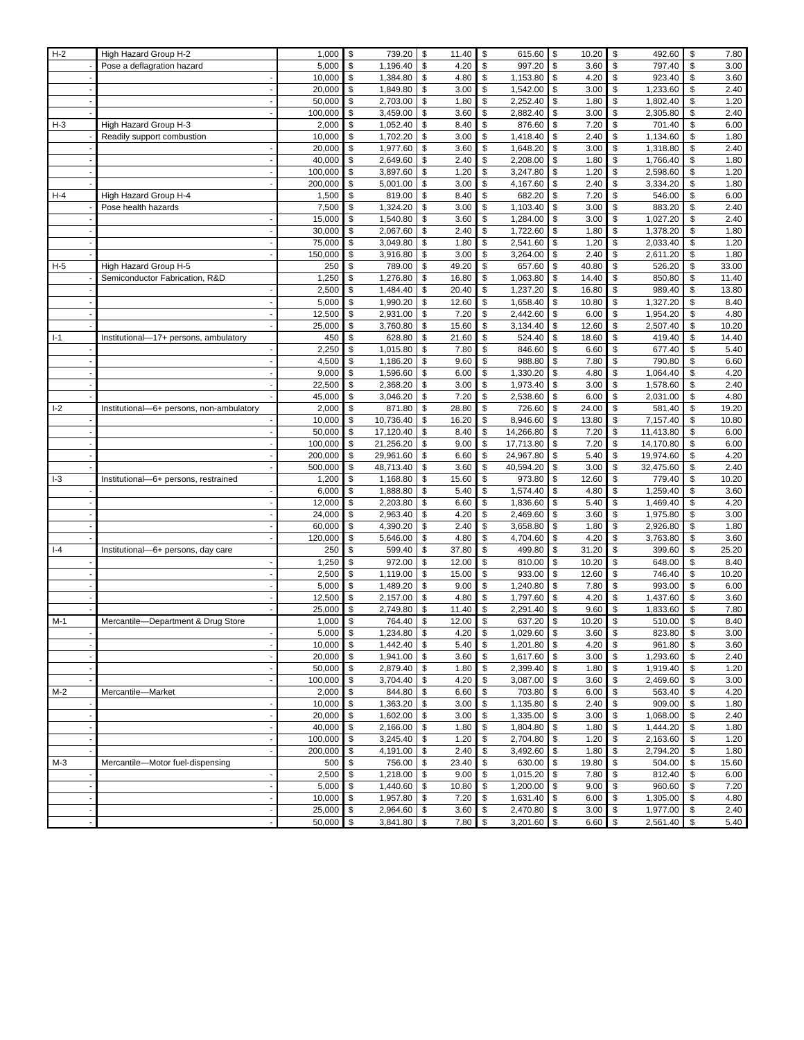| $H-2$ | High Hazard Group H-2                    | 1,000   | \$<br>739.20    | \$<br>11.40 | \$<br>615.60    | \$<br>10.20     | \$<br>492.60    | \$<br>7.80  |
|-------|------------------------------------------|---------|-----------------|-------------|-----------------|-----------------|-----------------|-------------|
|       | Pose a deflagration hazard               | 5,000   | \$<br>1,196.40  | \$<br>4.20  | \$<br>997.20    | \$<br>3.60      | \$<br>797.40    | \$<br>3.00  |
|       |                                          | 10,000  | \$<br>1,384.80  | \$<br>4.80  | \$<br>1,153.80  | \$<br>4.20      | \$<br>923.40    | \$<br>3.60  |
|       |                                          | 20,000  | \$<br>1,849.80  | \$<br>3.00  | \$<br>1,542.00  | \$<br>3.00      | \$<br>1,233.60  | \$<br>2.40  |
|       |                                          | 50,000  | \$<br>2,703.00  | \$<br>1.80  | \$<br>2,252.40  | \$<br>1.80      | \$<br>1,802.40  | \$<br>1.20  |
|       |                                          | 100,000 | \$<br>3,459.00  | \$<br>3.60  | \$<br>2,882.40  | \$<br>3.00      | \$<br>2,305.80  | \$<br>2.40  |
| $H-3$ | High Hazard Group H-3                    | 2,000   | \$<br>1,052.40  | \$<br>8.40  | \$<br>876.60    | \$<br>7.20      | \$<br>701.40    | \$<br>6.00  |
|       | Readily support combustion               | 10,000  | \$<br>1,702.20  | \$<br>3.00  | \$<br>1,418.40  | \$<br>2.40      | \$<br>1,134.60  | \$<br>1.80  |
|       |                                          | 20,000  | \$<br>1,977.60  | \$<br>3.60  | \$<br>1,648.20  | \$<br>3.00      | \$<br>1,318.80  | \$<br>2.40  |
|       |                                          | 40,000  | \$<br>2,649.60  | \$<br>2.40  | \$<br>2,208.00  | \$<br>1.80      | \$<br>1,766.40  | \$<br>1.80  |
|       |                                          | 100,000 | \$<br>3,897.60  | \$<br>1.20  | \$<br>3,247.80  | \$<br>1.20      | \$<br>2,598.60  | \$<br>1.20  |
|       |                                          | 200,000 | \$<br>5,001.00  | \$<br>3.00  | \$<br>4,167.60  | \$<br>2.40      | \$<br>3,334.20  | \$<br>1.80  |
| $H-4$ | High Hazard Group H-4                    | 1,500   | \$<br>819.00    | \$<br>8.40  | \$<br>682.20    | \$<br>7.20      | \$<br>546.00    | \$<br>6.00  |
|       | Pose health hazards                      | 7,500   | \$<br>1,324.20  | \$<br>3.00  | \$<br>1,103.40  | \$<br>3.00      | \$<br>883.20    | \$<br>2.40  |
|       |                                          | 15,000  | \$<br>1.540.80  | \$<br>3.60  | \$<br>1,284.00  | \$<br>3.00      | \$<br>1,027.20  | \$<br>2.40  |
|       |                                          | 30,000  | \$<br>2,067.60  | \$<br>2.40  | \$<br>1,722.60  | \$<br>1.80      | \$<br>1,378.20  | \$<br>1.80  |
|       |                                          | 75,000  | \$<br>3,049.80  | \$<br>1.80  | \$<br>2,541.60  | \$<br>1.20      | \$<br>2,033.40  | \$<br>1.20  |
|       |                                          | 150,000 | \$<br>3,916.80  | \$<br>3.00  | \$<br>3,264.00  | 2.40<br>\$      | \$<br>2,611.20  | \$<br>1.80  |
| $H-5$ | High Hazard Group H-5                    | 250     | \$<br>789.00    | \$<br>49.20 | \$<br>657.60    | \$<br>40.80     | \$<br>526.20    | \$<br>33.00 |
|       | Semiconductor Fabrication, R&D           | 1,250   | \$<br>1,276.80  | \$<br>16.80 | \$<br>1,063.80  | \$<br>14.40     | \$<br>850.80    | \$<br>11.40 |
|       |                                          | 2,500   | \$<br>1,484.40  | \$<br>20.40 | \$<br>1,237.20  | \$<br>16.80     | \$<br>989.40    | \$<br>13.80 |
|       |                                          | 5,000   | \$<br>1,990.20  | 12.60<br>\$ | \$<br>1,658.40  | \$<br>10.80     | \$<br>1,327.20  | \$<br>8.40  |
|       |                                          | 12,500  | \$<br>2,931.00  | \$<br>7.20  | \$<br>2,442.60  | \$<br>6.00      | \$<br>1,954.20  | \$<br>4.80  |
|       |                                          | 25,000  | \$<br>3,760.80  | \$<br>15.60 | \$<br>3,134.40  | \$<br>12.60     | \$<br>2,507.40  | \$<br>10.20 |
| $I-1$ | Institutional-17+ persons, ambulatory    | 450     | \$<br>628.80    | \$<br>21.60 | \$<br>524.40    | \$<br>18.60     | \$<br>419.40    | \$<br>14.40 |
|       |                                          | 2,250   | \$<br>1,015.80  | \$<br>7.80  | \$<br>846.60    | \$<br>6.60      | \$<br>677.40    | \$<br>5.40  |
|       |                                          | 4,500   | \$<br>1,186.20  | \$<br>9.60  | \$<br>988.80    | \$<br>7.80      | \$<br>790.80    | \$<br>6.60  |
|       |                                          | 9,000   | \$<br>1,596.60  | \$<br>6.00  | \$<br>1,330.20  | \$<br>4.80      | \$<br>1,064.40  | \$<br>4.20  |
|       |                                          | 22,500  | \$<br>2,368.20  | \$<br>3.00  | \$<br>1,973.40  | \$<br>3.00      | \$<br>1,578.60  | \$<br>2.40  |
|       |                                          | 45,000  | \$<br>3,046.20  | \$<br>7.20  | \$<br>2,538.60  | \$<br>6.00      | \$<br>2,031.00  | \$<br>4.80  |
| $I-2$ | Institutional-6+ persons, non-ambulatory | 2,000   | \$<br>871.80    | \$<br>28.80 | \$<br>726.60    | \$<br>24.00     | \$<br>581.40    | \$<br>19.20 |
|       |                                          | 10,000  | \$<br>10,736.40 | \$<br>16.20 | \$<br>8,946.60  | \$<br>13.80     | \$<br>7,157.40  | \$<br>10.80 |
|       |                                          | 50,000  | \$<br>17,120.40 | \$<br>8.40  | \$<br>14,266.80 | \$<br>7.20      | \$<br>11,413.80 | \$<br>6.00  |
|       |                                          | 100,000 | \$<br>21,256.20 | \$<br>9.00  | \$<br>17,713.80 | \$<br>7.20      | 14,170.80<br>\$ | \$<br>6.00  |
|       |                                          | 200,000 | \$<br>29,961.60 | \$<br>6.60  | \$<br>24,967.80 | \$<br>5.40      | \$<br>19,974.60 | \$<br>4.20  |
|       |                                          | 500,000 | \$<br>48,713.40 | \$<br>3.60  | \$<br>40,594.20 | \$<br>3.00      | \$<br>32,475.60 | \$<br>2.40  |
| $-3$  | Institutional-6+ persons, restrained     | 1,200   | \$<br>1,168.80  | \$<br>15.60 | \$<br>973.80    | \$<br>12.60     | \$<br>779.40    | \$<br>10.20 |
|       |                                          | 6,000   | \$<br>1,888.80  | \$<br>5.40  | \$<br>1,574.40  | \$<br>4.80      | \$<br>1,259.40  | \$<br>3.60  |
|       |                                          | 12,000  | \$<br>2,203.80  | \$<br>6.60  | \$<br>1,836.60  | \$<br>5.40      | \$<br>1,469.40  | \$<br>4.20  |
|       |                                          | 24,000  | \$<br>2,963.40  | \$<br>4.20  | \$<br>2,469.60  | \$<br>3.60      | \$<br>1,975.80  | \$<br>3.00  |
|       |                                          | 60,000  | \$<br>4,390.20  | \$<br>2.40  | \$<br>3,658.80  | \$<br>1.80      | \$<br>2,926.80  | \$<br>1.80  |
|       |                                          | 120,000 | \$<br>5,646.00  | \$<br>4.80  | \$<br>4,704.60  | 4.20<br>\$      | \$<br>3,763.80  | \$<br>3.60  |
| $I-4$ | Institutional-6+ persons, day care       | 250     | \$<br>599.40    | \$<br>37.80 | \$<br>499.80    | \$<br>31.20     | \$<br>399.60    | \$<br>25.20 |
|       |                                          | 1,250   | \$<br>972.00    | \$<br>12.00 | \$<br>810.00    | \$<br>10.20     | \$<br>648.00    | \$<br>8.40  |
|       |                                          | 2,500   | \$<br>1,119.00  | \$<br>15.00 | \$<br>933.00    | \$<br>12.60     | \$<br>746.40    | \$<br>10.20 |
|       |                                          | 5,000   | \$<br>1,489.20  | \$<br>9.00  | \$<br>1,240.80  | \$<br>7.80      | \$<br>993.00    | \$<br>6.00  |
|       |                                          | 12,500  | \$<br>2,157.00  | \$<br>4.80  | \$<br>1,797.60  | \$<br>4.20      | \$<br>1,437.60  | \$<br>3.60  |
|       |                                          | 25,000  | \$<br>2,749.80  | \$<br>11.40 | \$<br>2,291.40  | \$<br>9.60      | \$<br>1,833.60  | \$<br>7.80  |
| M-1   | Mercantile-Department & Drug Store       | 1,000   | \$<br>764.40    | \$<br>12.00 | \$<br>637.20    | \$<br>10.20     | \$<br>510.00    | \$<br>8.40  |
|       |                                          | 5,000   | \$<br>1,234.80  | \$<br>4.20  | \$<br>1,029.60  | \$<br>3.60      | \$<br>823.80    | \$<br>3.00  |
|       |                                          | 10,000  | \$<br>1,442.40  | \$<br>5.40  | \$<br>1,201.80  | \$<br>4.20      | \$<br>961.80    | \$<br>3.60  |
|       |                                          | 20,000  | \$<br>1,941.00  | 3.60<br>\$  | \$<br>1,617.60  | $3.00$ \$<br>\$ | 1,293.60        | \$<br>2.40  |
|       |                                          | 50,000  | \$<br>2,879.40  | \$<br>1.80  | \$<br>2,399.40  | 1.80<br>\$      | \$<br>1,919.40  | \$<br>1.20  |
|       |                                          | 100,000 | \$<br>3,704.40  | 4.20<br>\$  | \$<br>3,087.00  | \$<br>3.60      | \$<br>2,469.60  | \$<br>3.00  |
| $M-2$ | Mercantile-Market                        | 2,000   | \$<br>844.80    | \$<br>6.60  | \$<br>703.80    | \$<br>6.00      | \$<br>563.40    | \$<br>4.20  |
|       |                                          | 10,000  | \$<br>1,363.20  | \$<br>3.00  | \$<br>1,135.80  | \$<br>2.40      | \$<br>909.00    | \$<br>1.80  |
|       |                                          | 20,000  | \$<br>1,602.00  | \$<br>3.00  | \$<br>1,335.00  | \$<br>3.00      | \$<br>1,068.00  | \$<br>2.40  |
|       |                                          | 40,000  | \$<br>2,166.00  | \$<br>1.80  | \$<br>1,804.80  | \$<br>1.80      | \$<br>1,444.20  | \$<br>1.80  |
|       |                                          | 100,000 | \$<br>3,245.40  | \$<br>1.20  | \$<br>2,704.80  | \$<br>1.20      | \$<br>2,163.60  | \$<br>1.20  |
|       |                                          | 200,000 | \$<br>4,191.00  | \$<br>2.40  | \$<br>3,492.60  | 1.80<br>\$      | \$<br>2,794.20  | \$<br>1.80  |
| $M-3$ | Mercantile-Motor fuel-dispensing         | 500     | \$<br>756.00    | \$<br>23.40 | \$<br>630.00    | \$<br>19.80     | \$<br>504.00    | \$<br>15.60 |
|       |                                          | 2,500   | \$<br>1,218.00  | 9.00<br>\$  | \$<br>1,015.20  | \$<br>7.80      | \$<br>812.40    | \$<br>6.00  |
|       |                                          | 5,000   | \$<br>1,440.60  | \$<br>10.80 | \$<br>1,200.00  | \$<br>9.00      | \$<br>960.60    | \$<br>7.20  |
|       |                                          | 10,000  | \$<br>1,957.80  | \$<br>7.20  | \$<br>1,631.40  | \$<br>$6.00$ \$ | 1,305.00        | \$<br>4.80  |
|       |                                          | 25,000  | \$<br>2,964.60  | \$<br>3.60  | \$<br>2,470.80  | \$<br>3.00      | \$<br>1,977.00  | \$<br>2.40  |
|       |                                          | 50,000  | \$<br>3,841.80  | \$<br>7.80  | \$<br>3,201.60  | \$<br>6.60      | \$<br>2,561.40  | \$<br>5.40  |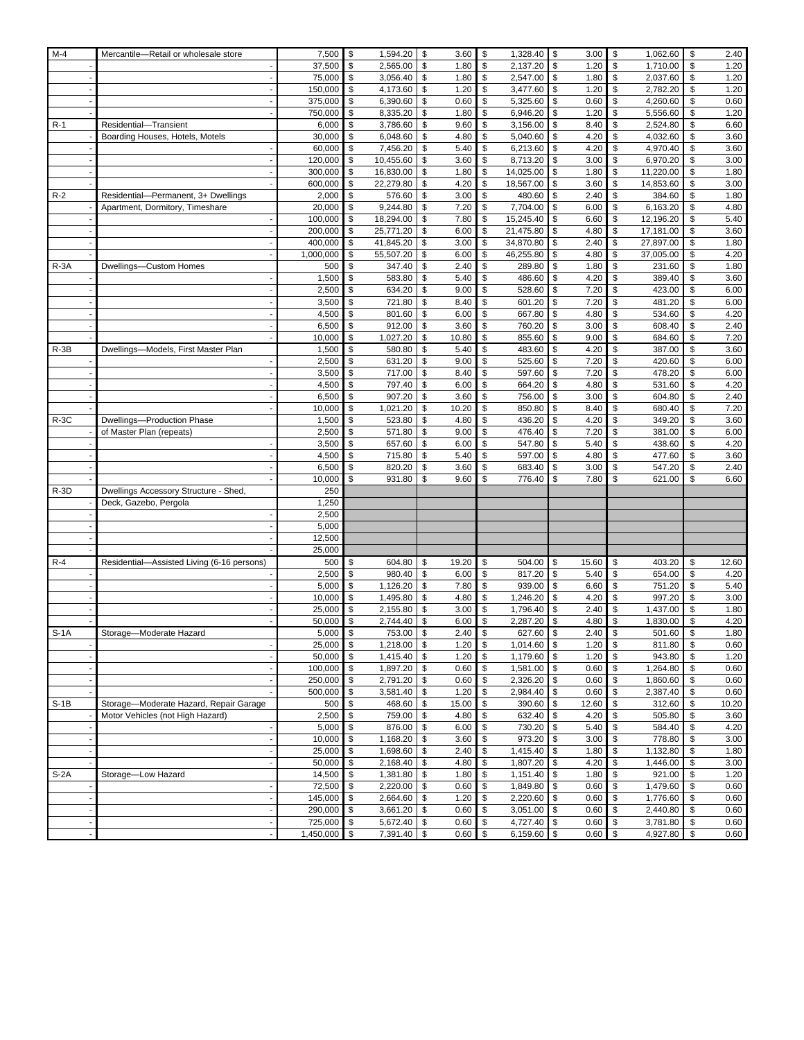| $M-4$  | Mercantile-Retail or wholesale store       | 7,500              | \$       | 1,594.20               | \$       | 3.60          | \$       | 1,328.40              | \$<br>3.00               | \$       | 1,062.60               | \$       | 2.40         |
|--------|--------------------------------------------|--------------------|----------|------------------------|----------|---------------|----------|-----------------------|--------------------------|----------|------------------------|----------|--------------|
|        |                                            | 37,500             | \$       | 2,565.00               | \$       | 1.80          | \$       | 2,137.20              | \$<br>1.20               | \$       | 1,710.00               | \$       | 1.20         |
|        |                                            | 75,000             | \$       | 3,056.40               | \$       | 1.80          | \$       | 2,547.00              | \$<br>1.80               | \$       | 2,037.60               | \$       | 1.20         |
|        |                                            | 150,000            | \$       | 4,173.60               | \$       | 1.20          | \$       | 3,477.60              | \$<br>1.20               | \$       | 2,782.20               | \$       | 1.20         |
|        |                                            | 375,000            | \$       | 6,390.60               | \$       | 0.60          | \$       | 5,325.60              | \$<br>0.60               | \$       | 4,260.60               | \$       | 0.60         |
|        |                                            | 750,000            | \$       | 8,335.20               | \$       | 1.80          | \$       | 6,946.20              | \$<br>1.20               | \$       | 5,556.60               | \$       | 1.20         |
| $R-1$  | Residential-Transient                      | 6,000              | \$       | 3,786.60               | \$       | 9.60          | \$       | 3,156.00              | \$<br>8.40               | \$       | 2,524.80               | \$       | 6.60         |
|        | Boarding Houses, Hotels, Motels            | 30,000             | \$       | 6,048.60               | \$       | 4.80          | \$       | 5,040.60              | \$<br>4.20               | \$       | 4,032.60               | \$       | 3.60         |
|        |                                            | 60,000             | \$       | 7,456.20               | \$       | 5.40          | \$       | 6,213.60              | \$<br>4.20               | \$       | 4,970.40               | \$       | 3.60         |
|        |                                            | 120,000<br>300,000 | \$<br>\$ | 10,455.60<br>16,830.00 | \$<br>\$ | 3.60          | \$<br>\$ | 8,713.20<br>14,025.00 | \$<br>3.00<br>\$         | \$<br>\$ | 6,970.20               | \$<br>\$ | 3.00<br>1.80 |
|        |                                            | 600,000            | \$       | 22,279.80              | \$       | 1.80<br>4.20  | \$       | 18,567.00             | 1.80<br>\$<br>3.60       | \$       | 11,220.00<br>14,853.60 | \$       | 3.00         |
| $R-2$  | Residential-Permanent, 3+ Dwellings        | 2,000              | \$       | 576.60                 | \$       | 3.00          | \$       | 480.60                | \$<br>2.40               | \$       | 384.60                 | \$       | 1.80         |
|        | Apartment, Dormitory, Timeshare            | 20,000             | \$       | 9,244.80               | \$       | 7.20          | \$       | 7,704.00              | \$<br>6.00               | \$       | 6,163.20               | \$       | 4.80         |
|        |                                            | 100,000            | \$       | 18,294.00              | \$       | 7.80          | \$       | 15,245.40             | \$<br>6.60               | \$       | 12,196.20              | \$       | 5.40         |
|        |                                            | 200,000            | \$       | 25,771.20              | \$       | 6.00          | \$       | 21,475.80             | \$<br>4.80               | \$       | 17,181.00              | \$       | 3.60         |
|        |                                            | 400,000            | \$       | 41,845.20              | \$       | 3.00          | \$       | 34,870.80             | \$<br>2.40               | \$       | 27,897.00              | \$       | 1.80         |
|        |                                            | 1,000,000          | \$       | 55,507.20              | \$       | 6.00          | \$       | 46,255.80             | \$<br>4.80               | \$       | 37,005.00              | \$       | 4.20         |
| $R-3A$ | Dwellings-Custom Homes                     | 500                | \$       | 347.40                 | \$       | 2.40          | \$       | 289.80                | \$<br>1.80               | \$       | 231.60                 | \$       | 1.80         |
|        |                                            | 1,500              | \$       | 583.80                 | \$       | 5.40          | \$       | 486.60                | \$<br>4.20               | \$       | 389.40                 | \$       | 3.60         |
|        |                                            | 2,500              | \$       | 634.20                 | \$       | 9.00          | \$       | 528.60                | \$<br>7.20               | \$       | 423.00                 | \$       | 6.00         |
|        |                                            | 3,500              | \$       | 721.80                 | \$       | 8.40          | \$       | 601.20                | \$<br>7.20               | \$       | 481.20                 | \$       | 6.00         |
|        |                                            | 4,500              | \$       | 801.60                 | \$       | 6.00          | \$       | 667.80                | \$<br>4.80               | \$       | 534.60                 | \$       | 4.20         |
|        |                                            | 6,500              | \$       | 912.00                 | \$       | 3.60          | \$       | 760.20                | \$<br>3.00               | \$       | 608.40                 | \$       | 2.40         |
|        |                                            | 10,000             | \$       | 1,027.20               | \$       | 10.80         | \$       | 855.60                | \$<br>9.00               | \$       | 684.60                 | \$       | 7.20         |
| $R-3B$ | Dwellings-Models, First Master Plan        | 1,500              | \$       | 580.80                 | \$       | 5.40          | \$       | 483.60                | \$<br>4.20               | \$       | 387.00                 | \$       | 3.60         |
|        |                                            | 2,500              | \$       | 631.20                 | \$       | 9.00          | \$       | 525.60                | \$<br>7.20               | \$       | 420.60                 | \$       | 6.00         |
|        |                                            | 3,500              | \$       | 717.00                 | \$       | 8.40          | \$       | 597.60                | \$<br>7.20               | \$       | 478.20                 | \$       | 6.00         |
|        |                                            | 4,500              | \$       | 797.40                 | \$       | 6.00          | \$       | 664.20                | \$<br>4.80               | \$       | 531.60                 | \$       | 4.20         |
|        |                                            | 6,500<br>10,000    | \$<br>\$ | 907.20<br>1,021.20     | \$<br>\$ | 3.60<br>10.20 | \$<br>\$ | 756.00<br>850.80      | \$<br>3.00<br>\$<br>8.40 | \$<br>\$ | 604.80<br>680.40       | \$<br>\$ | 2.40<br>7.20 |
| $R-3C$ | Dwellings-Production Phase                 | 1,500              | \$       | 523.80                 | \$       | 4.80          | \$       | 436.20                | \$<br>4.20               | \$       | 349.20                 | \$       | 3.60         |
|        | of Master Plan (repeats)                   | 2,500              | \$       | 571.80                 | \$       | 9.00          | \$       | 476.40                | \$<br>7.20               | \$       | 381.00                 | \$       | 6.00         |
|        |                                            | 3,500              | \$       | 657.60                 | \$       | 6.00          | \$       | 547.80                | \$<br>5.40               | \$       | 438.60                 | \$       | 4.20         |
|        |                                            | 4,500              | \$       | 715.80                 | \$       | 5.40          | \$       | 597.00                | \$<br>4.80               | \$       | 477.60                 | \$       | 3.60         |
|        |                                            | 6,500              | \$       | 820.20                 | \$       | 3.60          | \$       | 683.40                | \$<br>3.00               | \$       | 547.20                 | \$       | 2.40         |
|        |                                            | 10,000             | \$       | 931.80                 | \$       | 9.60          | \$       | 776.40                | \$<br>7.80               | \$       | 621.00                 | \$       | 6.60         |
| $R-3D$ | Dwellings Accessory Structure - Shed,      | 250                |          |                        |          |               |          |                       |                          |          |                        |          |              |
|        | Deck, Gazebo, Pergola                      | 1,250              |          |                        |          |               |          |                       |                          |          |                        |          |              |
|        |                                            | 2,500              |          |                        |          |               |          |                       |                          |          |                        |          |              |
|        |                                            | 5,000              |          |                        |          |               |          |                       |                          |          |                        |          |              |
|        |                                            | 12,500             |          |                        |          |               |          |                       |                          |          |                        |          |              |
|        |                                            | 25,000             |          |                        |          |               |          |                       |                          |          |                        |          |              |
| $R-4$  | Residential-Assisted Living (6-16 persons) | 500                | \$<br>\$ | 604.80                 | \$<br>\$ | 19.20         | \$       | 504.00<br>817.20      | \$<br>15.60              | \$       | 403.20                 | \$       | 12.60        |
|        |                                            | 2,500<br>5,000     | \$       | 980.40<br>1,126.20     | \$       | 6.00<br>7.80  | \$<br>\$ | 939.00                | \$<br>5.40<br>\$<br>6.60 | \$<br>\$ | 654.00<br>751.20       | \$<br>\$ | 4.20<br>5.40 |
|        |                                            | 10,000             | \$       | 1,495.80               | \$       | 4.80          | \$       | 1,246.20              | \$<br>4.20               | \$       | 997.20                 | \$       | 3.00         |
|        |                                            | 25,000             | \$       | 2,155.80               | \$       | 3.00          | \$       | 1,796.40              | \$<br>2.40               | \$       | 1,437.00               | \$       | 1.80         |
|        |                                            | 50,000             | \$       | 2,744.40               | \$       | 6.00          | \$       | 2,287.20              | \$<br>4.80               | \$       | 1,830.00               | \$       | 4.20         |
| $S-1A$ | Storage-Moderate Hazard                    | 5,000              | \$       | 753.00                 | \$       | 2.40          | \$       | 627.60                | \$<br>2.40               | \$       | 501.60                 | \$       | 1.80         |
|        |                                            | 25,000             | \$       | 1,218.00               | \$       | 1.20          | \$       | $1,014.60$ \$         | 1.20                     | \$       | 811.80                 | \$       | 0.60         |
|        |                                            | 50,000             | \$       | 1,415.40               | \$       | 1.20          | \$       | 1,179.60              | $1.20$ \$<br>\$          |          | 943.80                 | \$       | 1.20         |
|        |                                            | 100,000            | \$       | 1,897.20               | \$       | 0.60          | \$       | 1,581.00              | $0.60$ \$<br>\$          |          | 1,264.80               | \$       | 0.60         |
|        |                                            | 250,000            | \$       | 2,791.20               | \$       | 0.60          | \$       | 2,326.20              | $0.60$ \$<br>\$          |          | 1,860.60               | \$       | 0.60         |
|        |                                            | 500,000            | \$       | 3,581.40               | \$       | 1.20          | \$       | 2,984.40              | \$<br>0.60               | \$       | 2,387.40               | \$       | 0.60         |
| $S-1B$ | Storage-Moderate Hazard, Repair Garage     | 500                | \$       | 468.60                 | \$       | 15.00         | \$       | 390.60                | \$<br>$12.60$ \$         |          | 312.60                 | \$       | 10.20        |
|        | Motor Vehicles (not High Hazard)           | 2,500              | \$       | 759.00                 | \$       | 4.80          | \$       | 632.40                | \$<br>4.20               | \$       | 505.80                 | \$       | 3.60         |
|        |                                            | 5,000              | \$       | 876.00                 | \$       | 6.00          | \$       | 730.20                | \$<br>5.40               | \$       | 584.40                 | \$       | 4.20         |
|        |                                            | 10,000             | \$       | 1,168.20               | \$       | 3.60          | \$       | 973.20                | \$<br>3.00               | \$       | 778.80                 | \$       | 3.00         |
|        |                                            | 25,000             | \$       | 1,698.60               | \$       | 2.40          | \$       | 1,415.40              | $1.80$ \$<br>\$          |          | 1,132.80               | \$       | 1.80         |
|        |                                            | 50,000             | \$       | 2,168.40               | \$       | 4.80          | \$<br>\$ | 1,807.20<br>1,151.40  | 4.20<br>\$               | \$       | 1,446.00               | \$       | 3.00         |
| $S-2A$ | Storage-Low Hazard                         | 14,500<br>72,500   | \$<br>\$ | 1,381.80<br>2,220.00   | \$<br>\$ | 1.80<br>0.60  | \$       | 1,849.80              | \$<br>1.80<br>0.60<br>\$ | \$<br>\$ | 921.00<br>1,479.60     | \$<br>\$ | 1.20<br>0.60 |
|        |                                            | 145,000            | \$       | 2,664.60               | \$       | 1.20          | \$       | 2,220.60              | \$<br>$0.60$ \$          |          | 1,776.60               | \$       | $0.60\,$     |
|        |                                            | 290,000            | \$       | 3,661.20               | \$       | 0.60          | \$       | 3,051.00              | 0.60<br>\$               | \$       | 2,440.80               | \$       | 0.60         |
|        |                                            | 725,000            | \$       | 5,672.40               | \$       | 0.60          | \$       | 4,727.40              | $0.60$ \$<br>\$          |          | 3,781.80               | \$       | 0.60         |
|        |                                            | 1,450,000          | \$       | 7,391.40               | \$       | 0.60          | \$       | 6,159.60              | 0.60<br>\$               | \$       | 4,927.80               | \$       | 0.60         |
|        |                                            |                    |          |                        |          |               |          |                       |                          |          |                        |          |              |